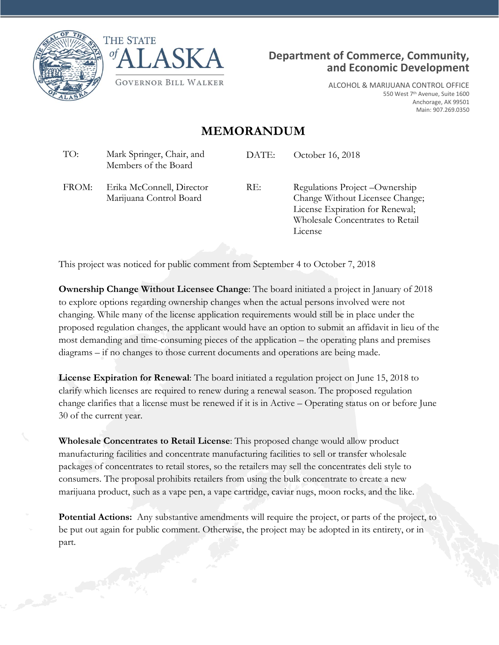





ALCOHOL & MARIJUANA CONTROL OFFICE 550 West 7<sup>th</sup> Avenue, Suite 1600 Anchorage, AK 99501 Main: 907.269.0350

## **MEMORANDUM**

TO: Mark Springer, Chair, and Members of the Board DATE: October 16, 2018 FROM: Erika McConnell, Director Marijuana Control Board RE: Regulations Project – Ownership Change Without Licensee Change; License Expiration for Renewal; Wholesale Concentrates to Retail License

This project was noticed for public comment from September 4 to October 7, 2018

**Ownership Change Without Licensee Change**: The board initiated a project in January of 2018 to explore options regarding ownership changes when the actual persons involved were not changing. While many of the license application requirements would still be in place under the proposed regulation changes, the applicant would have an option to submit an affidavit in lieu of the most demanding and time-consuming pieces of the application – the operating plans and premises diagrams – if no changes to those current documents and operations are being made.

**License Expiration for Renewal**: The board initiated a regulation project on June 15, 2018 to clarify which licenses are required to renew during a renewal season. The proposed regulation change clarifies that a license must be renewed if it is in Active – Operating status on or before June 30 of the current year.

**Wholesale Concentrates to Retail License**: This proposed change would allow product manufacturing facilities and concentrate manufacturing facilities to sell or transfer wholesale packages of concentrates to retail stores, so the retailers may sell the concentrates deli style to consumers. The proposal prohibits retailers from using the bulk concentrate to create a new marijuana product, such as a vape pen, a vape cartridge, caviar nugs, moon rocks, and the like.

**Potential Actions:** Any substantive amendments will require the project, or parts of the project, to be put out again for public comment. Otherwise, the project may be adopted in its entirety, or in part.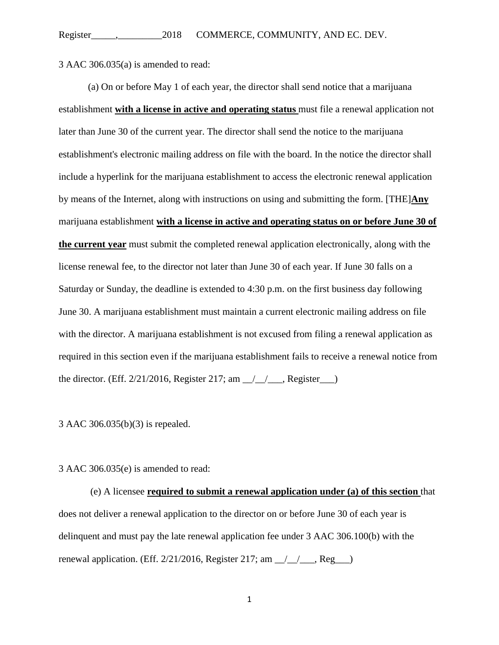3 AAC 306.035(a) is amended to read:

(a) On or before May 1 of each year, the director shall send notice that a marijuana establishment **with a license in active and operating status** must file a renewal application not later than June 30 of the current year. The director shall send the notice to the marijuana establishment's electronic mailing address on file with the board. In the notice the director shall include a hyperlink for the marijuana establishment to access the electronic renewal application by means of the Internet, along with instructions on using and submitting the form. [THE]**Any**  marijuana establishment **with a license in active and operating status on or before June 30 of the current year** must submit the completed renewal application electronically, along with the license renewal fee, to the director not later than June 30 of each year. If June 30 falls on a Saturday or Sunday, the deadline is extended to 4:30 p.m. on the first business day following June 30. A marijuana establishment must maintain a current electronic mailing address on file with the director. A marijuana establishment is not excused from filing a renewal application as required in this section even if the marijuana establishment fails to receive a renewal notice from the director. (Eff.  $2/21/2016$ , Register 217; am  $\angle$   $\angle$   $\angle$  Register  $\angle$ )

3 AAC 306.035(b)(3) is repealed.

3 AAC 306.035(e) is amended to read:

(e) A licensee **required to submit a renewal application under (a) of this section** that does not deliver a renewal application to the director on or before June 30 of each year is delinquent and must pay the late renewal application fee under 3 AAC 306.100(b) with the renewal application. (Eff. 2/21/2016, Register 217; am \_\_/\_\_/\_\_\_, Reg\_\_\_)

1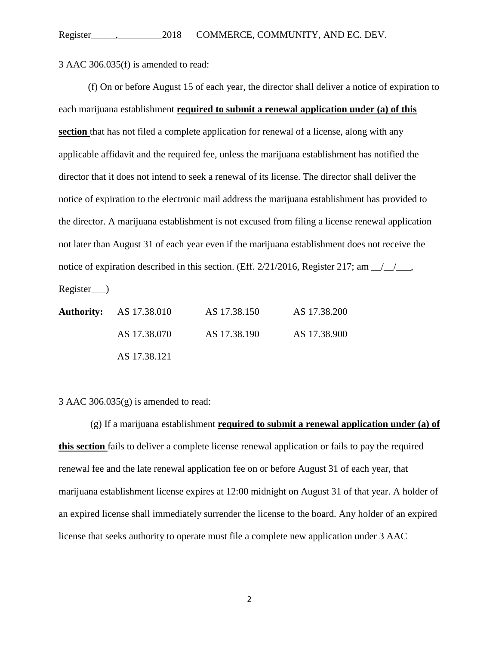3 AAC 306.035(f) is amended to read:

(f) On or before August 15 of each year, the director shall deliver a notice of expiration to each marijuana establishment **required to submit a renewal application under (a) of this section** that has not filed a complete application for renewal of a license, along with any applicable affidavit and the required fee, unless the marijuana establishment has notified the director that it does not intend to seek a renewal of its license. The director shall deliver the notice of expiration to the electronic mail address the marijuana establishment has provided to the director. A marijuana establishment is not excused from filing a license renewal application not later than August 31 of each year even if the marijuana establishment does not receive the notice of expiration described in this section. (Eff.  $2/21/2016$ , Register 217; am  $\frac{1}{2}$ ,

Register\_\_\_)

|  | <b>Authority:</b> AS 17.38.010 | AS 17.38.150 | AS 17.38.200 |
|--|--------------------------------|--------------|--------------|
|  | AS 17.38.070                   | AS 17.38.190 | AS 17.38.900 |
|  | AS 17.38.121                   |              |              |

3 AAC 306.035 $(g)$  is amended to read:

(g) If a marijuana establishment **required to submit a renewal application under (a) of this section** fails to deliver a complete license renewal application or fails to pay the required renewal fee and the late renewal application fee on or before August 31 of each year, that marijuana establishment license expires at 12:00 midnight on August 31 of that year. A holder of an expired license shall immediately surrender the license to the board. Any holder of an expired license that seeks authority to operate must file a complete new application under 3 AAC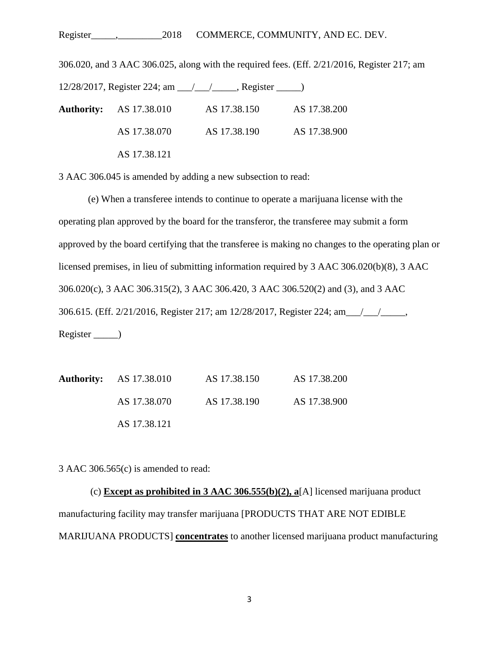## Register\_\_\_\_\_,\_\_\_\_\_\_\_\_\_2018 COMMERCE, COMMUNITY, AND EC. DEV.

306.020, and 3 AAC 306.025, along with the required fees. (Eff. 2/21/2016, Register 217; am 12/28/2017, Register 224; am \_\_\_/\_\_\_\_/\_\_\_\_, Register \_\_\_\_\_\_) **Authority:** AS 17.38.010 AS 17.38.150 AS 17.38.200 AS 17.38.070 AS 17.38.190 AS 17.38.900 AS 17.38.121

3 AAC 306.045 is amended by adding a new subsection to read:

(e) When a transferee intends to continue to operate a marijuana license with the operating plan approved by the board for the transferor, the transferee may submit a form approved by the board certifying that the transferee is making no changes to the operating plan or licensed premises, in lieu of submitting information required by 3 AAC 306.020(b)(8), 3 AAC 306.020(c), 3 AAC 306.315(2), 3 AAC 306.420, 3 AAC 306.520(2) and (3), and 3 AAC 306.615. (Eff. 2/21/2016, Register 217; am 12/28/2017, Register 224; am\_\_\_/\_\_\_/\_\_\_\_\_, Register \_\_\_\_\_)

| <b>Authority:</b> AS 17.38.010 | AS 17.38.150 | AS 17.38.200 |
|--------------------------------|--------------|--------------|
| AS 17.38.070                   | AS 17.38.190 | AS 17.38.900 |
| AS 17.38.121                   |              |              |

3 AAC 306.565(c) is amended to read:

(c) **Except as prohibited in 3 AAC 306.555(b)(2), a**[A] licensed marijuana product manufacturing facility may transfer marijuana [PRODUCTS THAT ARE NOT EDIBLE MARIJUANA PRODUCTS] **concentrates** to another licensed marijuana product manufacturing